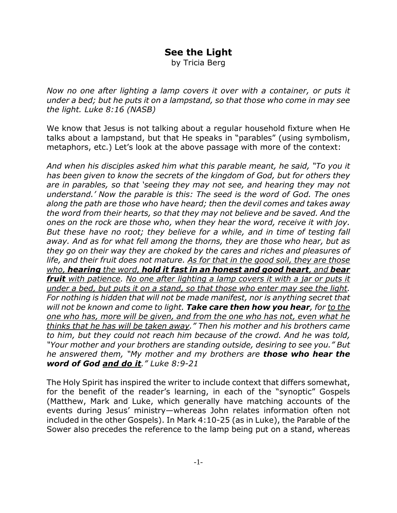## **See the Light**

by Tricia Berg

*Now no one after lighting a lamp covers it over with a container, or puts it under a bed; but he puts it on a lampstand, so that those who come in may see the light. Luke 8:16 (NASB)*

We know that Jesus is not talking about a regular household fixture when He talks about a lampstand, but that He speaks in "parables" (using symbolism, metaphors, etc.) Let's look at the above passage with more of the context:

*And when his disciples asked him what this parable meant, he said, "To you it has been given to know the secrets of the kingdom of God, but for others they are in parables, so that 'seeing they may not see, and hearing they may not understand.' Now the parable is this: The seed is the word of God. The ones along the path are those who have heard; then the devil comes and takes away the word from their hearts, so that they may not believe and be saved. And the ones on the rock are those who, when they hear the word, receive it with joy. But these have no root; they believe for a while, and in time of testing fall away. And as for what fell among the thorns, they are those who hear, but as they go on their way they are choked by the cares and riches and pleasures of life, and their fruit does not mature. As for that in the good soil, they are those who, hearing the word, hold it fast in an honest and good heart, and bear fruit with patience. No one after lighting a lamp covers it with a jar or puts it under a bed, but puts it on a stand, so that those who enter may see the light. For nothing is hidden that will not be made manifest, nor is anything secret that will not be known and come to light. Take care then how you hear, for to the one who has, more will be given, and from the one who has not, even what he thinks that he has will be taken away." Then his mother and his brothers came to him, but they could not reach him because of the crowd. And he was told, "Your mother and your brothers are standing outside, desiring to see you." But he answered them, "My mother and my brothers are those who hear the word of God and do it." Luke 8:9-21*

The Holy Spirit has inspired the writer to include context that differs somewhat, for the benefit of the reader's learning, in each of the "synoptic" Gospels (Matthew, Mark and Luke, which generally have matching accounts of the events during Jesus' ministry—whereas John relates information often not included in the other Gospels). In Mark 4:10-25 (as in Luke), the Parable of the Sower also precedes the reference to the lamp being put on a stand, whereas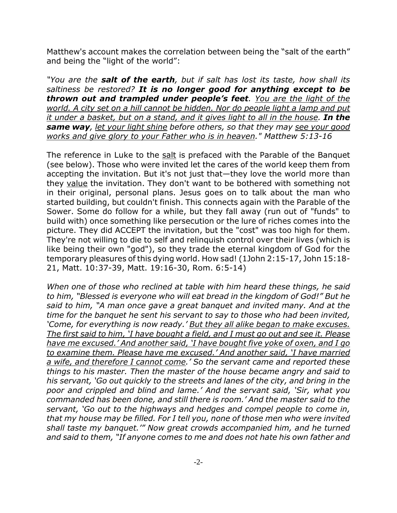Matthew's account makes the correlation between being the "salt of the earth" and being the "light of the world":

*"You are the salt of the earth, but if salt has lost its taste, how shall its saltiness be restored? It is no longer good for anything except to be thrown out and trampled under people's feet. You are the light of the world. A city set on a hill cannot be hidden. Nor do people light a lamp and put it under a basket, but on a stand, and it gives light to all in the house. In the same way, let your light shine before others, so that they may see your good works and give glory to your Father who is in heaven." Matthew 5:13-16*

The reference in Luke to the salt is prefaced with the Parable of the Banquet (see below). Those who were invited let the cares of the world keep them from accepting the invitation. But it's not just that—they love the world more than they value the invitation. They don't want to be bothered with something not in their original, personal plans. Jesus goes on to talk about the man who started building, but couldn't finish. This connects again with the Parable of the Sower. Some do follow for a while, but they fall away (run out of "funds" to build with) once something like persecution or the lure of riches comes into the picture. They did ACCEPT the invitation, but the "cost" was too high for them. They're not willing to die to self and relinquish control over their lives (which is like being their own "god"), so they trade the eternal kingdom of God for the temporary pleasures of this dying world. How sad! (1John 2:15-17, John 15:18- 21, Matt. 10:37-39, Matt. 19:16-30, Rom. 6:5-14)

*When one of those who reclined at table with him heard these things, he said to him, "Blessed is everyone who will eat bread in the kingdom of God!" But he said to him, "A man once gave a great banquet and invited many. And at the time for the banquet he sent his servant to say to those who had been invited, 'Come, for everything is now ready.' But they all alike began to make excuses. The first said to him, 'I have bought a field, and I must go out and see it. Please have me excused.' And another said, 'I have bought five yoke of oxen, and I go to examine them. Please have me excused.' And another said, 'I have married a wife, and therefore I cannot come.' So the servant came and reported these things to his master. Then the master of the house became angry and said to his servant, 'Go out quickly to the streets and lanes of the city, and bring in the poor and crippled and blind and lame.' And the servant said, 'Sir, what you commanded has been done, and still there is room.' And the master said to the servant, 'Go out to the highways and hedges and compel people to come in, that my house may be filled. For I tell you, none of those men who were invited shall taste my banquet.'" Now great crowds accompanied him, and he turned and said to them, "If anyone comes to me and does not hate his own father and*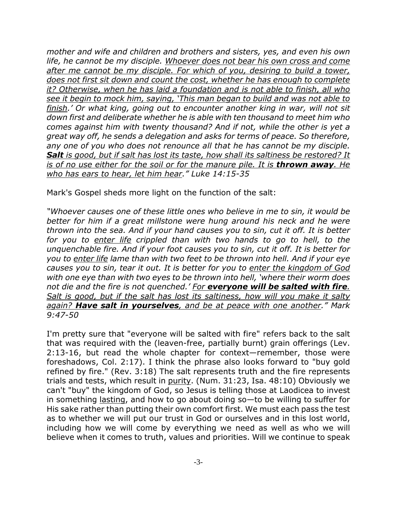*mother and wife and children and brothers and sisters, yes, and even his own life, he cannot be my disciple. Whoever does not bear his own cross and come after me cannot be my disciple. For which of you, desiring to build a tower, does not first sit down and count the cost, whether he has enough to complete it? Otherwise, when he has laid a foundation and is not able to finish, all who see it begin to mock him, saying, 'This man began to build and was not able to finish.' Or what king, going out to encounter another king in war, will not sit down first and deliberate whether he is able with ten thousand to meet him who comes against him with twenty thousand? And if not, while the other is yet a great way off, he sends a delegation and asks for terms of peace. So therefore, any one of you who does not renounce all that he has cannot be my disciple. Salt is good, but if salt has lost its taste, how shall its saltiness be restored? It is of no use either for the soil or for the manure pile. It is thrown away. He who has ears to hear, let him hear." Luke 14:15-35*

Mark's Gospel sheds more light on the function of the salt:

*"Whoever causes one of these little ones who believe in me to sin, it would be better for him if a great millstone were hung around his neck and he were thrown into the sea. And if your hand causes you to sin, cut it off. It is better for you to enter life crippled than with two hands to go to hell, to the unquenchable fire. And if your foot causes you to sin, cut it off. It is better for you to enter life lame than with two feet to be thrown into hell. And if your eye causes you to sin, tear it out. It is better for you to enter the kingdom of God with one eye than with two eyes to be thrown into hell, 'where their worm does not die and the fire is not quenched.' For everyone will be salted with fire. Salt is good, but if the salt has lost its saltiness, how will you make it salty again? Have salt in yourselves, and be at peace with one another." Mark 9:47-50*

I'm pretty sure that "everyone will be salted with fire" refers back to the salt that was required with the (leaven-free, partially burnt) grain offerings (Lev. 2:13-16, but read the whole chapter for context—remember, those were foreshadows, Col. 2:17). I think the phrase also looks forward to "buy gold refined by fire." (Rev. 3:18) The salt represents truth and the fire represents trials and tests, which result in purity. (Num. 31:23, Isa. 48:10) Obviously we can't "buy" the kingdom of God, so Jesus is telling those at Laodicea to invest in something lasting, and how to go about doing so—to be willing to suffer for His sake rather than putting their own comfort first. We must each pass the test as to whether we will put our trust in God or ourselves and in this lost world, including how we will come by everything we need as well as who we will believe when it comes to truth, values and priorities. Will we continue to speak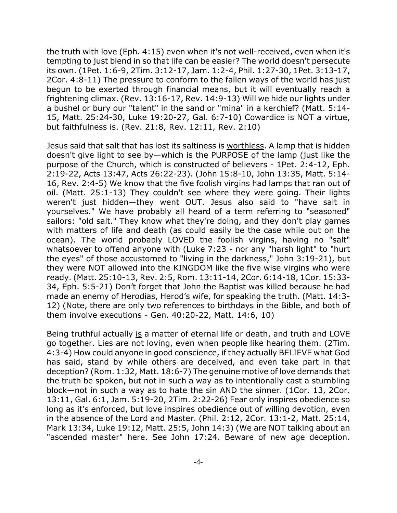the truth with love (Eph. 4:15) even when it's not well-received, even when it's tempting to just blend in so that life can be easier? The world doesn't persecute its own. (1Pet. 1:6-9, 2Tim. 3:12-17, Jam. 1:2-4, Phil. 1:27-30, 1Pet. 3:13-17, 2Cor. 4:8-11) The pressure to conform to the fallen ways of the world has just begun to be exerted through financial means, but it will eventually reach a frightening climax. (Rev. 13:16-17, Rev. 14:9-13) Will we hide our lights under a bushel or bury our "talent" in the sand or "mina" in a kerchief? (Matt. 5:14- 15, Matt. 25:24-30, Luke 19:20-27, Gal. 6:7-10) Cowardice is NOT a virtue, but faithfulness is. (Rev. 21:8, Rev. 12:11, Rev. 2:10)

Jesus said that salt that has lost its saltiness is worthless. A lamp that is hidden doesn't give light to see by—which is the PURPOSE of the lamp (just like the purpose of the Church, which is constructed of believers - 1Pet. 2:4-12, Eph. 2:19-22, Acts 13:47, Acts 26:22-23). (John 15:8-10, John 13:35, Matt. 5:14- 16, Rev. 2:4-5) We know that the five foolish virgins had lamps that ran out of oil. (Matt. 25:1-13) They couldn't see where they were going. Their lights weren't just hidden—they went OUT. Jesus also said to "have salt in yourselves." We have probably all heard of a term referring to "seasoned" sailors: "old salt." They know what they're doing, and they don't play games with matters of life and death (as could easily be the case while out on the ocean). The world probably LOVED the foolish virgins, having no "salt" whatsoever to offend anyone with (Luke 7:23 - nor any "harsh light" to "hurt the eyes" of those accustomed to "living in the darkness," John 3:19-21), but they were NOT allowed into the KINGDOM like the five wise virgins who were ready. (Matt. 25:10-13, Rev. 2:5, Rom. 13:11-14, 2Cor. 6:14-18, 1Cor. 15:33- 34, Eph. 5:5-21) Don't forget that John the Baptist was killed because he had made an enemy of Herodias, Herod's wife, for speaking the truth. (Matt. 14:3- 12) (Note, there are only two references to birthdays in the Bible, and both of them involve executions - Gen. 40:20-22, Matt. 14:6, 10)

Being truthful actually is a matter of eternal life or death, and truth and LOVE go together. Lies are not loving, even when people like hearing them. (2Tim. 4:3-4) How could anyone in good conscience, if they actually BELIEVE what God has said, stand by while others are deceived, and even take part in that deception? (Rom. 1:32, Matt. 18:6-7) The genuine motive of love demands that the truth be spoken, but not in such a way as to intentionally cast a stumbling block—not in such a way as to hate the sin AND the sinner. (1Cor. 13, 2Cor. 13:11, Gal. 6:1, Jam. 5:19-20, 2Tim. 2:22-26) Fear only inspires obedience so long as it's enforced, but love inspires obedience out of willing devotion, even in the absence of the Lord and Master. (Phil. 2:12, 2Cor. 13:1-2, Matt. 25:14, Mark 13:34, Luke 19:12, Matt. 25:5, John 14:3) (We are NOT talking about an "ascended master" here. See John 17:24. Beware of new age deception.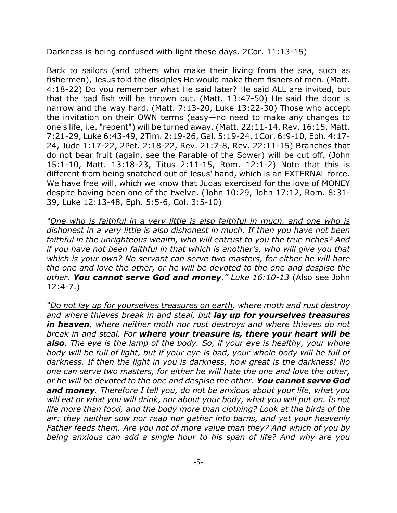Darkness is being confused with light these days. 2Cor. 11:13-15)

Back to sailors (and others who make their living from the sea, such as fishermen), Jesus told the disciples He would make them fishers of men. (Matt. 4:18-22) Do you remember what He said later? He said ALL are invited, but that the bad fish will be thrown out. (Matt. 13:47-50) He said the door is narrow and the way hard. (Matt. 7:13-20, Luke 13:22-30) Those who accept the invitation on their OWN terms (easy—no need to make any changes to one's life, i.e. "repent") will be turned away. (Matt. 22:11-14, Rev. 16:15, Matt. 7:21-29, Luke 6:43-49, 2Tim. 2:19-26, Gal. 5:19-24, 1Cor. 6:9-10, Eph. 4:17- 24, Jude 1:17-22, 2Pet. 2:18-22, Rev. 21:7-8, Rev. 22:11-15) Branches that do not bear fruit (again, see the Parable of the Sower) will be cut off. (John 15:1-10, Matt. 13:18-23, Titus 2:11-15, Rom. 12:1-2) Note that this is different from being snatched out of Jesus' hand, which is an EXTERNAL force. We have free will, which we know that Judas exercised for the love of MONEY despite having been one of the twelve. (John 10:29, John 17:12, Rom. 8:31- 39, Luke 12:13-48, Eph. 5:5-6, Col. 3:5-10)

*"One who is faithful in a very little is also faithful in much, and one who is dishonest in a very little is also dishonest in much. If then you have not been faithful in the unrighteous wealth, who will entrust to you the true riches? And if you have not been faithful in that which is another's, who will give you that which is your own? No servant can serve two masters, for either he will hate the one and love the other, or he will be devoted to the one and despise the other. You cannot serve God and money." Luke 16:10-13* (Also see John 12:4-7.)

*"Do not lay up for yourselves treasures on earth, where moth and rust destroy and where thieves break in and steal, but lay up for yourselves treasures in heaven, where neither moth nor rust destroys and where thieves do not break in and steal. For where your treasure is, there your heart will be also. The eye is the lamp of the body. So, if your eye is healthy, your whole body will be full of light, but if your eye is bad, your whole body will be full of darkness. If then the light in you is darkness, how great is the darkness! No one can serve two masters, for either he will hate the one and love the other, or he will be devoted to the one and despise the other. You cannot serve God and money. Therefore I tell you, do not be anxious about your life, what you will eat or what you will drink, nor about your body, what you will put on. Is not life more than food, and the body more than clothing? Look at the birds of the air: they neither sow nor reap nor gather into barns, and yet your heavenly Father feeds them. Are you not of more value than they? And which of you by being anxious can add a single hour to his span of life? And why are you*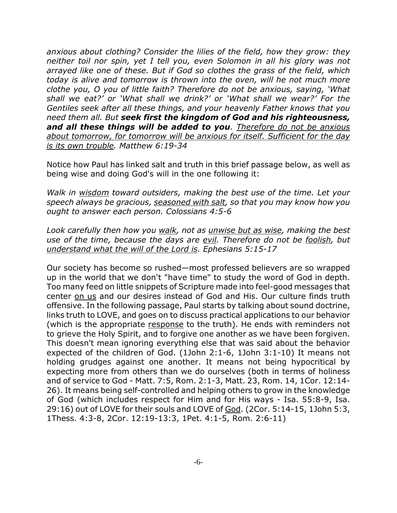*anxious about clothing? Consider the lilies of the field, how they grow: they neither toil nor spin, yet I tell you, even Solomon in all his glory was not arrayed like one of these. But if God so clothes the grass of the field, which today is alive and tomorrow is thrown into the oven, will he not much more clothe you, O you of little faith? Therefore do not be anxious, saying, 'What shall we eat?' or 'What shall we drink?' or 'What shall we wear?' For the Gentiles seek after all these things, and your heavenly Father knows that you need them all. But seek first the kingdom of God and his righteousness, and all these things will be added to you. Therefore do not be anxious about tomorrow, for tomorrow will be anxious for itself. Sufficient for the day is its own trouble. Matthew 6:19-34*

Notice how Paul has linked salt and truth in this brief passage below, as well as being wise and doing God's will in the one following it:

*Walk in wisdom toward outsiders, making the best use of the time. Let your speech always be gracious, seasoned with salt, so that you may know how you ought to answer each person. Colossians 4:5-6*

*Look carefully then how you walk, not as unwise but as wise, making the best use of the time, because the days are evil. Therefore do not be foolish, but understand what the will of the Lord is. Ephesians 5:15-17*

Our society has become so rushed—most professed believers are so wrapped up in the world that we don't "have time" to study the word of God in depth. Too many feed on little snippets of Scripture made into feel-good messages that center on us and our desires instead of God and His. Our culture finds truth offensive. In the following passage, Paul starts by talking about sound doctrine, links truth to LOVE, and goes on to discuss practical applications to our behavior (which is the appropriate response to the truth). He ends with reminders not to grieve the Holy Spirit, and to forgive one another as we have been forgiven. This doesn't mean ignoring everything else that was said about the behavior expected of the children of God. (1John 2:1-6, 1John 3:1-10) It means not holding grudges against one another. It means not being hypocritical by expecting more from others than we do ourselves (both in terms of holiness and of service to God - Matt. 7:5, Rom. 2:1-3, Matt. 23, Rom. 14, 1Cor. 12:14- 26). It means being self-controlled and helping others to grow in the knowledge of God (which includes respect for Him and for His ways - Isa. 55:8-9, Isa. 29:16) out of LOVE for their souls and LOVE of God. (2Cor. 5:14-15, 1John 5:3, 1Thess. 4:3-8, 2Cor. 12:19-13:3, 1Pet. 4:1-5, Rom. 2:6-11)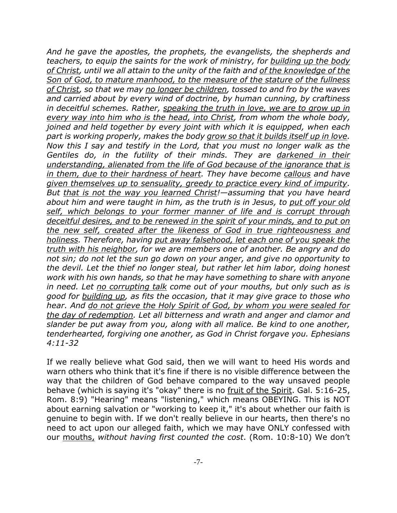*And he gave the apostles, the prophets, the evangelists, the shepherds and teachers, to equip the saints for the work of ministry, for building up the body of Christ, until we all attain to the unity of the faith and of the knowledge of the Son of God, to mature manhood, to the measure of the stature of the fullness of Christ, so that we may no longer be children, tossed to and fro by the waves and carried about by every wind of doctrine, by human cunning, by craftiness in deceitful schemes. Rather, speaking the truth in love, we are to grow up in every way into him who is the head, into Christ, from whom the whole body, joined and held together by every joint with which it is equipped, when each part is working properly, makes the body grow so that it builds itself up in love. Now this I say and testify in the Lord, that you must no longer walk as the Gentiles do, in the futility of their minds. They are darkened in their understanding, alienated from the life of God because of the ignorance that is in them, due to their hardness of heart. They have become callous and have given themselves up to sensuality, greedy to practice every kind of impurity. But that is not the way you learned Christ!—assuming that you have heard about him and were taught in him, as the truth is in Jesus, to put off your old self, which belongs to your former manner of life and is corrupt through deceitful desires, and to be renewed in the spirit of your minds, and to put on the new self, created after the likeness of God in true righteousness and holiness. Therefore, having put away falsehood, let each one of you speak the truth with his neighbor, for we are members one of another. Be angry and do not sin; do not let the sun go down on your anger, and give no opportunity to the devil. Let the thief no longer steal, but rather let him labor, doing honest work with his own hands, so that he may have something to share with anyone in need. Let no corrupting talk come out of your mouths, but only such as is good for building up, as fits the occasion, that it may give grace to those who hear. And do not grieve the Holy Spirit of God, by whom you were sealed for the day of redemption. Let all bitterness and wrath and anger and clamor and slander be put away from you, along with all malice. Be kind to one another, tenderhearted, forgiving one another, as God in Christ forgave you. Ephesians 4:11-32*

If we really believe what God said, then we will want to heed His words and warn others who think that it's fine if there is no visible difference between the way that the children of God behave compared to the way unsaved people behave (which is saying it's "okay" there is no fruit of the Spirit. Gal. 5:16-25, Rom. 8:9) "Hearing" means "listening," which means OBEYING. This is NOT about earning salvation or "working to keep it," it's about whether our faith is genuine to begin with. If we don't really believe in our hearts, then there's no need to act upon our alleged faith, which we may have ONLY confessed with our mouths, *without having first counted the cost*. (Rom. 10:8-10) We don't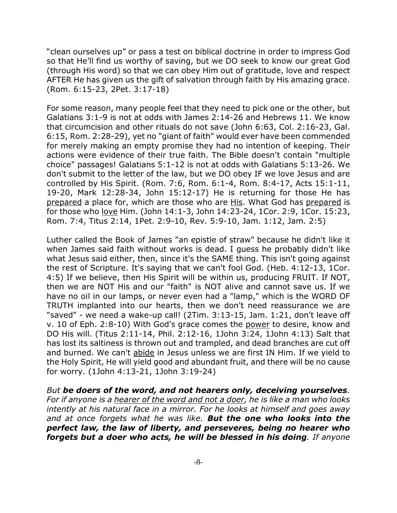"clean ourselves up" or pass a test on biblical doctrine in order to impress God so that He'll find us worthy of saving, but we DO seek to know our great God (through His word) so that we can obey Him out of gratitude, love and respect AFTER He has given us the gift of salvation through faith by His amazing grace. (Rom. 6:15-23, 2Pet. 3:17-18)

For some reason, many people feel that they need to pick one or the other, but Galatians 3:1-9 is not at odds with James 2:14-26 and Hebrews 11. We know that circumcision and other rituals do not save (John 6:63, Col. 2:16-23, Gal. 6:15, Rom. 2:28-29), yet no "giant of faith" would ever have been commended for merely making an empty promise they had no intention of keeping. Their actions were evidence of their true faith. The Bible doesn't contain "multiple choice" passages! Galatians 5:1-12 is not at odds with Galatians 5:13-26. We don't submit to the letter of the law, but we DO obey IF we love Jesus and are controlled by His Spirit. (Rom. 7:6, Rom. 6:1-4, Rom. 8:4-17, Acts 15:1-11, 19-20, Mark 12:28-34, John 15:12-17) He is returning for those He has prepared a place for, which are those who are His. What God has prepared is for those who love Him. (John 14:1-3, John 14:23-24, 1Cor. 2:9, 1Cor. 15:23, Rom. 7:4, Titus 2:14, 1Pet. 2:9-10, Rev. 5:9-10, Jam. 1:12, Jam. 2:5)

Luther called the Book of James "an epistle of straw" because he didn't like it when James said faith without works is dead. I guess he probably didn't like what Jesus said either, then, since it's the SAME thing. This isn't going against the rest of Scripture. It's saying that we can't fool God. (Heb. 4:12-13, 1Cor. 4:5) If we believe, then His Spirit will be within us, producing FRUIT. If NOT, then we are NOT His and our "faith" is NOT alive and cannot save us. If we have no oil in our lamps, or never even had a "lamp," which is the WORD OF TRUTH implanted into our hearts, then we don't need reassurance we are "saved" - we need a wake-up call! (2Tim. 3:13-15, Jam. 1:21, don't leave off v. 10 of Eph. 2:8-10) With God's grace comes the power to desire, know and DO His will. (Titus 2:11-14, Phil. 2:12-16, 1John 3:24, 1John 4:13) Salt that has lost its saltiness is thrown out and trampled, and dead branches are cut off and burned. We can't abide in Jesus unless we are first IN Him. If we yield to the Holy Spirit, He will yield good and abundant fruit, and there will be no cause for worry. (1John 4:13-21, 1John 3:19-24)

*But be doers of the word, and not hearers only, deceiving yourselves. For if anyone is a hearer of the word and not a doer, he is like a man who looks intently at his natural face in a mirror. For he looks at himself and goes away and at once forgets what he was like. But the one who looks into the perfect law, the law of liberty, and perseveres, being no hearer who forgets but a doer who acts, he will be blessed in his doing. If anyone*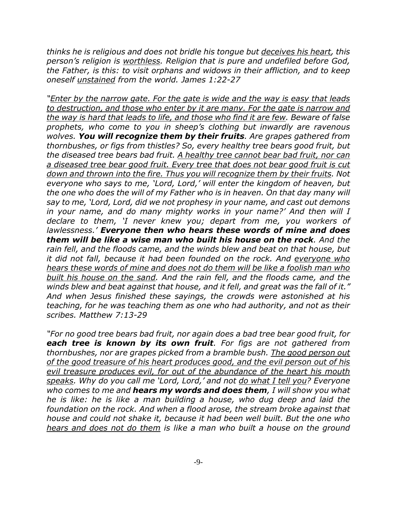*thinks he is religious and does not bridle his tongue but deceives his heart, this person's religion is worthless. Religion that is pure and undefiled before God, the Father, is this: to visit orphans and widows in their affliction, and to keep oneself unstained from the world. James 1:22-27*

*"Enter by the narrow gate. For the gate is wide and the way is easy that leads to destruction, and those who enter by it are many. For the gate is narrow and the way is hard that leads to life, and those who find it are few. Beware of false prophets, who come to you in sheep's clothing but inwardly are ravenous wolves. You will recognize them by their fruits. Are grapes gathered from thornbushes, or figs from thistles? So, every healthy tree bears good fruit, but the diseased tree bears bad fruit. A healthy tree cannot bear bad fruit, nor can a diseased tree bear good fruit. Every tree that does not bear good fruit is cut down and thrown into the fire. Thus you will recognize them by their fruits. Not everyone who says to me, 'Lord, Lord,' will enter the kingdom of heaven, but the one who does the will of my Father who is in heaven. On that day many will say to me, 'Lord, Lord, did we not prophesy in your name, and cast out demons in your name, and do many mighty works in your name?' And then will I declare to them, 'I never knew you; depart from me, you workers of lawlessness.' Everyone then who hears these words of mine and does them will be like a wise man who built his house on the rock. And the rain fell, and the floods came, and the winds blew and beat on that house, but it did not fall, because it had been founded on the rock. And everyone who hears these words of mine and does not do them will be like a foolish man who built his house on the sand. And the rain fell, and the floods came, and the winds blew and beat against that house, and it fell, and great was the fall of it." And when Jesus finished these sayings, the crowds were astonished at his teaching, for he was teaching them as one who had authority, and not as their scribes. Matthew 7:13-29*

*"For no good tree bears bad fruit, nor again does a bad tree bear good fruit, for each tree is known by its own fruit. For figs are not gathered from thornbushes, nor are grapes picked from a bramble bush. The good person out of the good treasure of his heart produces good, and the evil person out of his evil treasure produces evil, for out of the abundance of the heart his mouth speaks. Why do you call me 'Lord, Lord,' and not do what I tell you? Everyone who comes to me and hears my words and does them, I will show you what he is like: he is like a man building a house, who dug deep and laid the foundation on the rock. And when a flood arose, the stream broke against that house and could not shake it, because it had been well built. But the one who hears and does not do them is like a man who built a house on the ground*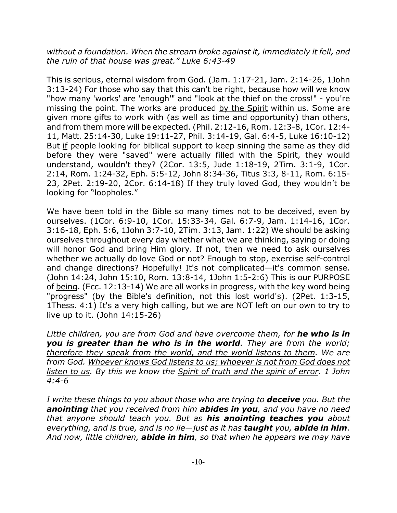*without a foundation. When the stream broke against it, immediately it fell, and the ruin of that house was great." Luke 6:43-49*

This is serious, eternal wisdom from God. (Jam. 1:17-21, Jam. 2:14-26, 1John 3:13-24) For those who say that this can't be right, because how will we know "how many 'works' are 'enough'" and "look at the thief on the cross!" - you're missing the point. The works are produced by the Spirit within us. Some are given more gifts to work with (as well as time and opportunity) than others, and from them more will be expected. (Phil. 2:12-16, Rom. 12:3-8, 1Cor. 12:4- 11, Matt. 25:14-30, Luke 19:11-27, Phil. 3:14-19, Gal. 6:4-5, Luke 16:10-12) But if people looking for biblical support to keep sinning the same as they did before they were "saved" were actually filled with the Spirit, they would understand, wouldn't they? (2Cor. 13:5, Jude 1:18-19, 2Tim. 3:1-9, 1Cor. 2:14, Rom. 1:24-32, Eph. 5:5-12, John 8:34-36, Titus 3:3, 8-11, Rom. 6:15- 23, 2Pet. 2:19-20, 2Cor. 6:14-18) If they truly loved God, they wouldn't be looking for "loopholes."

We have been told in the Bible so many times not to be deceived, even by ourselves. (1Cor. 6:9-10, 1Cor. 15:33-34, Gal. 6:7-9, Jam. 1:14-16, 1Cor. 3:16-18, Eph. 5:6, 1John 3:7-10, 2Tim. 3:13, Jam. 1:22) We should be asking ourselves throughout every day whether what we are thinking, saying or doing will honor God and bring Him glory. If not, then we need to ask ourselves whether we actually do love God or not? Enough to stop, exercise self-control and change directions? Hopefully! It's not complicated—it's common sense. (John 14:24, John 15:10, Rom. 13:8-14, 1John 1:5-2:6) This is our PURPOSE of being. (Ecc. 12:13-14) We are all works in progress, with the key word being "progress" (by the Bible's definition, not this lost world's). (2Pet. 1:3-15, 1Thess. 4:1) It's a very high calling, but we are NOT left on our own to try to live up to it. (John 14:15-26)

*Little children, you are from God and have overcome them, for he who is in you is greater than he who is in the world. They are from the world; therefore they speak from the world, and the world listens to them. We are from God. Whoever knows God listens to us; whoever is not from God does not listen to us. By this we know the Spirit of truth and the spirit of error. 1 John 4:4-6*

*I write these things to you about those who are trying to deceive you. But the anointing that you received from him abides in you, and you have no need that anyone should teach you. But as his anointing teaches you about everything, and is true, and is no lie—just as it has taught you, abide in him. And now, little children, abide in him, so that when he appears we may have*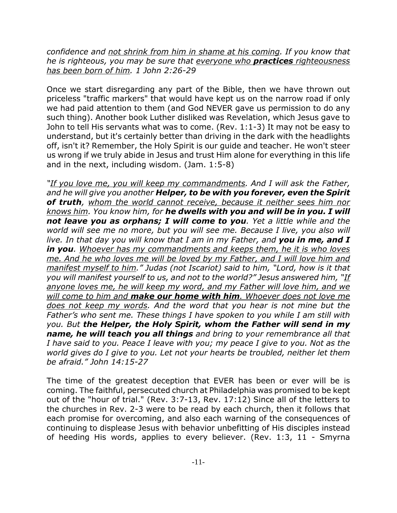*confidence and not shrink from him in shame at his coming. If you know that he is righteous, you may be sure that everyone who practices righteousness has been born of him. 1 John 2:26-29*

Once we start disregarding any part of the Bible, then we have thrown out priceless "traffic markers" that would have kept us on the narrow road if only we had paid attention to them (and God NEVER gave us permission to do any such thing). Another book Luther disliked was Revelation, which Jesus gave to John to tell His servants what was to come. (Rev. 1:1-3) It may not be easy to understand, but it's certainly better than driving in the dark with the headlights off, isn't it? Remember, the Holy Spirit is our guide and teacher. He won't steer us wrong if we truly abide in Jesus and trust Him alone for everything in this life and in the next, including wisdom. (Jam. 1:5-8)

*"If you love me, you will keep my commandments. And I will ask the Father, and he will give you another Helper, to be with you forever, even the Spirit of truth, whom the world cannot receive, because it neither sees him nor knows him. You know him, for he dwells with you and will be in you. I will not leave you as orphans; I will come to you. Yet a little while and the world will see me no more, but you will see me. Because I live, you also will live. In that day you will know that I am in my Father, and you in me, and I in you. Whoever has my commandments and keeps them, he it is who loves me. And he who loves me will be loved by my Father, and I will love him and manifest myself to him." Judas (not Iscariot) said to him, "Lord, how is it that you will manifest yourself to us, and not to the world?" Jesus answered him, "If anyone loves me, he will keep my word, and my Father will love him, and we will come to him and make our home with him. Whoever does not love me does not keep my words. And the word that you hear is not mine but the Father's who sent me. These things I have spoken to you while I am still with you. But the Helper, the Holy Spirit, whom the Father will send in my name, he will teach you all things and bring to your remembrance all that I have said to you. Peace I leave with you; my peace I give to you. Not as the world gives do I give to you. Let not your hearts be troubled, neither let them be afraid." John 14:15-27*

The time of the greatest deception that EVER has been or ever will be is coming. The faithful, persecuted church at Philadelphia was promised to be kept out of the "hour of trial." (Rev. 3:7-13, Rev. 17:12) Since all of the letters to the churches in Rev. 2-3 were to be read by each church, then it follows that each promise for overcoming, and also each warning of the consequences of continuing to displease Jesus with behavior unbefitting of His disciples instead of heeding His words, applies to every believer. (Rev. 1:3, 11 - Smyrna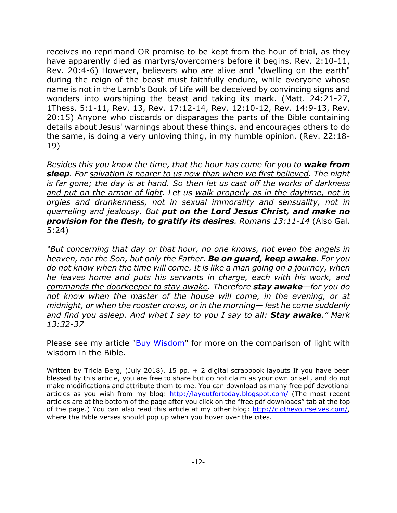receives no reprimand OR promise to be kept from the hour of trial, as they have apparently died as martyrs/overcomers before it begins. Rev. 2:10-11, Rev. 20:4-6) However, believers who are alive and "dwelling on the earth" during the reign of the beast must faithfully endure, while everyone whose name is not in the Lamb's Book of Life will be deceived by convincing signs and wonders into worshiping the beast and taking its mark. (Matt. 24:21-27, 1Thess. 5:1-11, Rev. 13, Rev. 17:12-14, Rev. 12:10-12, Rev. 14:9-13, Rev. 20:15) Anyone who discards or disparages the parts of the Bible containing details about Jesus' warnings about these things, and encourages others to do the same, is doing a very unloving thing, in my humble opinion. (Rev. 22:18- 19)

*Besides this you know the time, that the hour has come for you to wake from sleep. For salvation is nearer to us now than when we first believed. The night is far gone; the day is at hand. So then let us cast off the works of darkness and put on the armor of light. Let us walk properly as in the daytime, not in orgies and drunkenness, not in sexual immorality and sensuality, not in quarreling and jealousy. But put on the Lord Jesus Christ, and make no provision for the flesh, to gratify its desires. Romans 13:11-14* (Also Gal. 5:24)

*"But concerning that day or that hour, no one knows, not even the angels in heaven, nor the Son, but only the Father. Be on guard, keep awake. For you do not know when the time will come. It is like a man going on a journey, when he leaves home and puts his servants in charge, each with his work, and commands the doorkeeper to stay awake. Therefore stay awake—for you do not know when the master of the house will come, in the evening, or at midnight, or when the rooster crows, or in the morning— lest he come suddenly and find you asleep. And what I say to you I say to all: Stay awake." Mark 13:32-37*

Please see my article "Buy Wisdom" for more on the comparison of light with wisdom in the Bible.

Written by Tricia Berg, (July 2018), 15 pp. + 2 digital scrapbook layouts If you have been blessed by this article, you are free to share but do not claim as your own or sell, and do not make modifications and attribute them to me. You can download as many free pdf devotional articles as you wish from my blog: http://layoutfortoday.blogspot.com/ (The most recent articles are at the bottom of the page after you click on the "free pdf downloads" tab at the top of the page.) You can also read this article at my other blog: http://clotheyourselves.com/, where the Bible verses should pop up when you hover over the cites.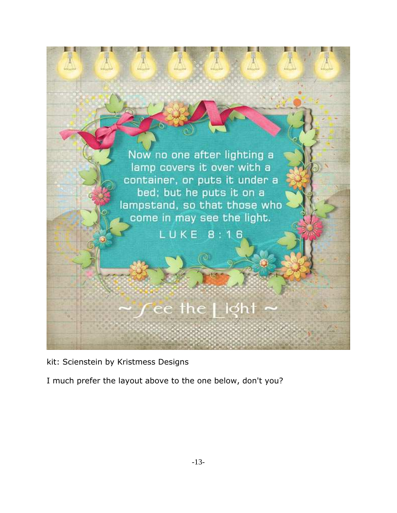

kit: Scienstein by Kristmess Designs

I much prefer the layout above to the one below, don't you?